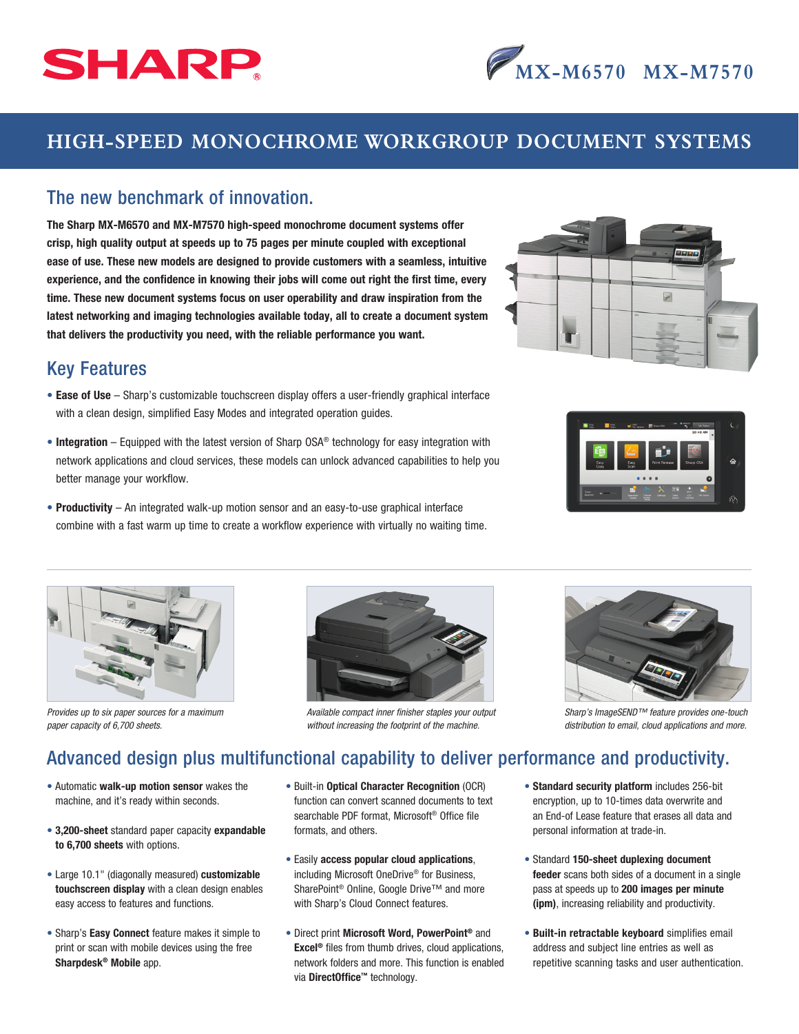

# **HIGH-SPEED MONOCHROME WORKGROUP DOCUMENT SYSTEMS**

#### The new benchmark of innovation.

The Sharp MX-M6570 and MX-M7570 high-speed monochrome document systems offer crisp, high quality output at speeds up to 75 pages per minute coupled with exceptional ease of use. These new models are designed to provide customers with a seamless, intuitive experience, and the confidence in knowing their jobs will come out right the first time, every time. These new document systems focus on user operability and draw inspiration from the latest networking and imaging technologies available today, all to create a document system that delivers the productivity you need, with the reliable performance you want.

### Key Features

- Ease of Use Sharp's customizable touchscreen display offers a user-friendly graphical interface with a clean design, simplified Easy Modes and integrated operation guides.
- Integration Equipped with the latest version of Sharp OSA<sup>®</sup> technology for easy integration with network applications and cloud services, these models can unlock advanced capabilities to help you better manage your workflow.
- Productivity An integrated walk-up motion sensor and an easy-to-use graphical interface combine with a fast warm up time to create a workflow experience with virtually no waiting time.



**MX-M6570 MX-M7570**





*Provides up to six paper sources for a maximum paper capacity of 6,700 sheets.*



*Available compact inner finisher staples your output without increasing the footprint of the machine.*



*Sharp's ImageSEND™ feature provides one-touch distribution to email, cloud applications and more.*

## Advanced design plus multifunctional capability to deliver performance and productivity.

- Automatic walk-up motion sensor wakes the machine, and it's ready within seconds.
- 3,200-sheet standard paper capacity expandable to 6,700 sheets with options.
- Large 10.1" (diagonally measured) customizable touchscreen display with a clean design enables easy access to features and functions.
- Sharp's Easy Connect feature makes it simple to print or scan with mobile devices using the free Sharpdesk® Mobile app.
- Built-in Optical Character Recognition (OCR) function can convert scanned documents to text searchable PDF format, Microsoft® Office file formats, and others.
- Easily access popular cloud applications, including Microsoft OneDrive® for Business, SharePoint<sup>®</sup> Online, Google Drive™ and more with Sharp's Cloud Connect features.
- Direct print Microsoft Word, PowerPoint® and Excel® files from thumb drives, cloud applications, network folders and more. This function is enabled via DirectOffice™ technology.
- Standard security platform includes 256-bit encryption, up to 10-times data overwrite and an End-of Lease feature that erases all data and personal information at trade-in.
- Standard 150-sheet duplexing document feeder scans both sides of a document in a single pass at speeds up to 200 images per minute (ipm), increasing reliability and productivity.
- Built-in retractable keyboard simplifies email address and subject line entries as well as repetitive scanning tasks and user authentication.